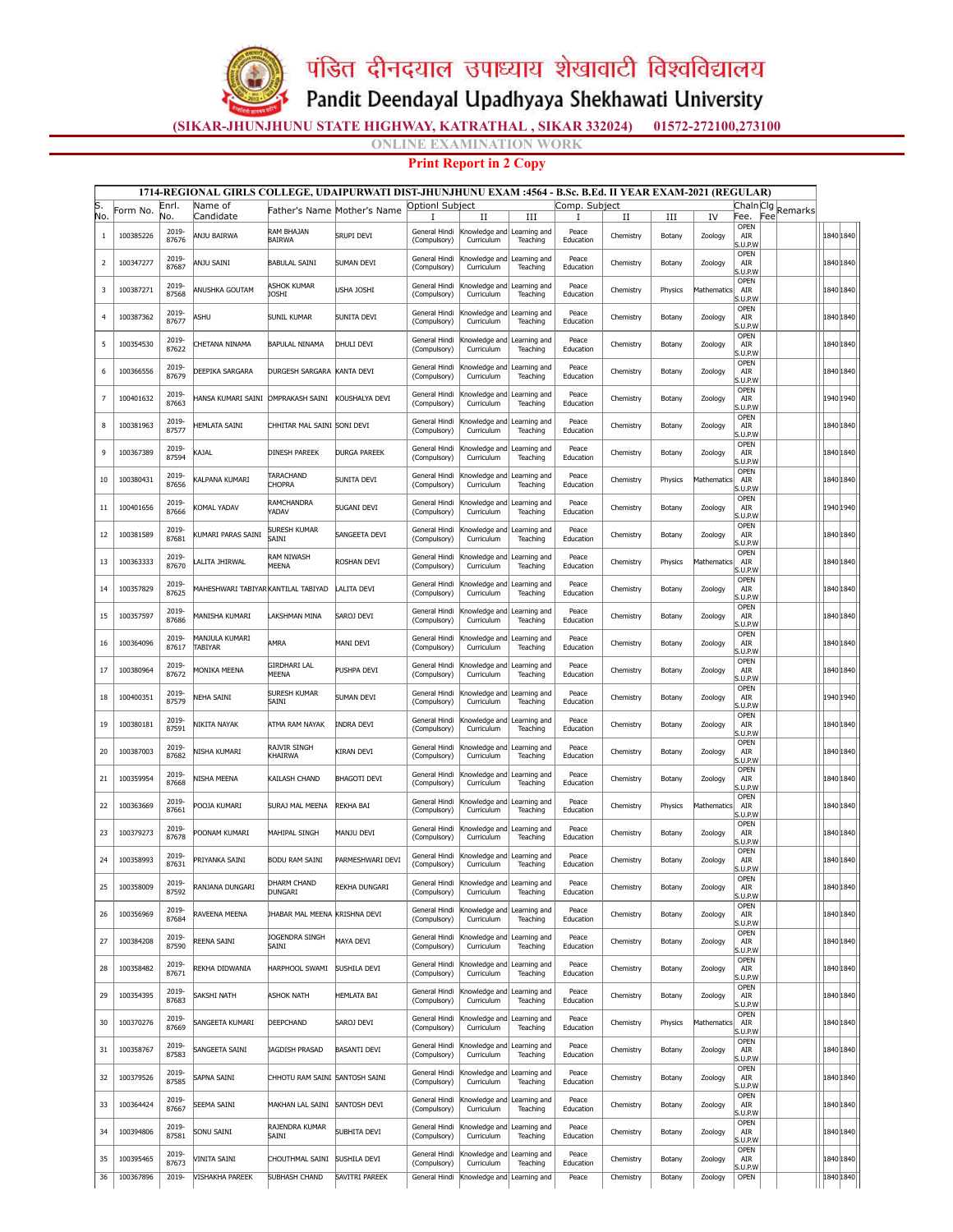

## पंडित दीनदयाल उपाध्याय शेखावाटी विश्वविद्यालय

Pandit Deendayal Upadhyaya Shekhawati University

(SIKAR-JHUNJHUNU STATE HIGHWAY, KATRATHAL , SIKAR 332024) 01572-272100,273100

NE EXAMINATION WORK

Print Report in 2 Copy

| 1714-REGIONAL GIRLS COLLEGE, UDAIPURWATI DIST-JHUNJHUNU EXAM :4564 - B.Sc. B.Ed. II YEAR EXAM-2021 (REGULAR) |           |                |                                     |                                |                             |                               |                                           |                          |                    |                |         |             |                               |                |           |  |
|--------------------------------------------------------------------------------------------------------------|-----------|----------------|-------------------------------------|--------------------------------|-----------------------------|-------------------------------|-------------------------------------------|--------------------------|--------------------|----------------|---------|-------------|-------------------------------|----------------|-----------|--|
| S.<br>No.                                                                                                    | Form No.  | Enrl.<br>No.   | Name of<br>Candidate                |                                | Father's Name Mother's Name | <b>Optionl Subject</b>        | П                                         | Ш                        | Comp. Subject<br>I |                | Ш       | IV          | Chaln Clg<br>Fee.             | Remarks<br>Fee |           |  |
| 1                                                                                                            | 100385226 | 2019-<br>87676 | ANJU BAIRWA                         | RAM BHAJAN<br><b>BAIRWA</b>    | <b>SRUPI DEVI</b>           | General Hindi<br>(Compulsory) | Knowledge and Learning and<br>Curriculum  | Teaching                 | Peace<br>Education | П<br>Chemistry | Botany  | Zoology     | OPEN<br>AIR<br>S.U.P.W        |                | 1840 1840 |  |
| 2                                                                                                            | 100347277 | 2019-<br>87687 | ANJU SAINI                          | BABULAL SAINI                  | SUMAN DEVI                  | General Hindi<br>(Compulsory) | nowledge and<br>Curriculum                | Learning and<br>Teaching | Peace<br>Education | Chemistry      | Botany  | Zoology     | OPEN<br>AIR<br>5. U.P.W       |                | 1840 1840 |  |
| 3                                                                                                            | 100387271 | 2019-<br>87568 | ANUSHKA GOUTAM                      | <b>ASHOK KUMAR</b><br>JOSHI    | <b>USHA JOSHI</b>           | General Hindi<br>(Compulsory) | Knowledge and<br>Curriculum               | Learning and<br>Teaching | Peace<br>Education | Chemistry      | Physics | Mathematics | OPEN<br>AIR<br>S.U.P.W        |                | 1840 1840 |  |
| $\overline{4}$                                                                                               | 100387362 | 2019-<br>87677 | ASHU                                | SUNIL KUMAR                    | SUNITA DEVI                 | General Hindi<br>(Compulsory) | Knowledge and<br>Curriculum               | Learning and<br>Teaching | Peace<br>Education | Chemistry      | Botany  | Zoology     | OPEN<br>AIR<br>.U.P.W         |                | 1840 1840 |  |
| 5                                                                                                            | 100354530 | 2019-<br>87622 | CHETANA NINAMA                      | <b>BAPULAL NINAMA</b>          | DHULI DEVI                  | General Hindi<br>(Compulsory) | nowledge and<br>Curriculum                | Learning and<br>Teaching | Peace<br>Education | Chemistry      | Botany  | Zoology     | OPEN<br>AIR<br>S.U.P.W        |                | 1840 1840 |  |
| 6                                                                                                            | 100366556 | 2019-<br>87679 | DEEPIKA SARGARA                     | <b>DURGESH SARGARA</b>         | KANTA DEVI                  | General Hindi<br>(Compulsory) | nowledge and<br>Curriculum                | Learning and<br>Teaching | Peace<br>Education | Chemistry      | Botany  | Zoology     | OPEN<br>AIR<br>.U.P.W         |                | 1840 1840 |  |
| 7                                                                                                            | 100401632 | 2019-<br>87663 | HANSA KUMARI SAINI                  | <b>OMPRAKASH SAINI</b>         | KOUSHALYA DEVI              | General Hindi<br>(Compulsory) | Knowledge and<br>Curriculum               | Learning and<br>Teaching | Peace<br>Education | Chemistry      | Botany  | Zoology     | OPEN<br>AIR<br>S.U.P.W        |                | 1940 1940 |  |
| 8                                                                                                            | 100381963 | 2019-<br>87577 | HEMLATA SAINI                       | CHHITAR MAL SAINI SONI DEVI    |                             | General Hindi<br>(Compulsory) | nowledge and<br>Curriculum                | Learning and<br>Teaching | Peace<br>Education | Chemistry      | Botany  | Zoology     | OPEN<br>AIR<br>.U.P.W         |                | 1840 1840 |  |
| 9                                                                                                            | 100367389 | 2019-<br>87594 | <b>AJAL</b>                         | DINESH PAREEK                  | <b>DURGA PAREEK</b>         | General Hindi<br>(Compulsory) | nowledge and<br>Curriculum                | Learning and<br>Teaching | Peace<br>Education | Chemistry      | Botany  | Zoology     | <b>OPEN</b><br>AIR<br>.U.P.W  |                | 1840 1840 |  |
| 10                                                                                                           | 100380431 | 2019<br>87656  | Alpana kumari                       | TARACHAND<br>CHOPRA            | SUNITA DEVI                 | General Hindi<br>(Compulsory) | nowledge and<br>Curriculum                | Learning and<br>Teaching | Peace<br>Education | Chemistry      | Physics | Mathematics | OPEN<br>AIR<br>$5.0.$ P.W     |                | 1840 1840 |  |
| 11                                                                                                           | 100401656 | 2019-<br>87666 | <b>COMAL YADAV</b>                  | RAMCHANDRA<br>YADAV            | <b>SUGANI DEVI</b>          | General Hindi<br>(Compulsory) | nowledge and<br>Curriculum                | Learning and<br>Teaching | Peace<br>Education | Chemistry      | Botany  | Zoology     | OPEN<br>AIR<br>5.U.P.W        |                | 1940 1940 |  |
| 12                                                                                                           | 100381589 | 2019-<br>87681 | (UMARI PARAS SAINI                  | SURESH KUMAR<br>SAINI          | SANGEETA DEVI               | General Hindi<br>(Compulsory) | (nowledge and<br>Curriculum               | Learning and<br>Teaching | Peace<br>Education | Chemistry      | Botany  | Zoology     | OPEN<br>AIR<br>S.U.P.W        |                | 1840 1840 |  |
| 13                                                                                                           | 100363333 | 2019-<br>87670 | LALITA JHIRWAL                      | ram niwash<br>MEENA            | ROSHAN DEVI                 | General Hindi<br>(Compulsory) | nowledge and<br>Curriculum                | Learning and<br>Teaching | Peace<br>Education | Chemistry      | Physics | Mathematics | OPEN<br>AIR<br>5. U.P.W       |                | 1840 1840 |  |
| 14                                                                                                           | 100357829 | 2019-<br>87625 | MAHESHWARI TABIYAR KANTILAL TABIYAD |                                | LALITA DEVI                 | General Hindi<br>(Compulsory) | nowledge and<br>Curriculum                | Learning and<br>Teaching | Peace<br>Education | Chemistry      | Botany  | Zoology     | OPEN<br>AIR<br>.U.P.W         |                | 1840 1840 |  |
| 15                                                                                                           | 100357597 | 2019-<br>87686 | MANISHA KUMARI                      | AKSHMAN MINA                   | SAROJ DEVI                  | General Hindi<br>(Compulsory) | <nowledge and<br="">Curriculum</nowledge> | Learning and<br>Teaching | Peace<br>Education | Chemistry      | Botany  | Zoology     | OPEN<br>AIR<br>.U.P.W         |                | 1840 1840 |  |
| 16                                                                                                           | 100364096 | 2019-<br>87617 | MANJULA KUMARI<br>TABIYAR           | AMRA                           | MANI DEVI                   | General Hindi<br>(Compulsory) | nowledge and<br>Curriculum                | Learning and<br>Teaching | Peace<br>Education | Chemistry      | Botany  | Zoology     | OPEN<br>AIR<br>5.U.P.W        |                | 1840 1840 |  |
| 17                                                                                                           | 100380964 | 2019-<br>87672 | MONIKA MEENA                        | GIRDHARI LAL<br>MEENA          | PUSHPA DEVI                 | General Hindi<br>(Compulsory) | Knowledge and<br>Curriculum               | Learning and<br>Teaching | Peace<br>Education | Chemistry      | Botany  | Zoology     | OPEN<br>AIR<br>.U.P.W         |                | 1840 1840 |  |
| 18                                                                                                           | 100400351 | 2019-<br>87579 | neha saini                          | <b>SURESH KUMAR</b><br>SAINI   | SUMAN DEVI                  | General Hindi<br>(Compulsory) | Knowledge and<br>Curriculum               | Learning and<br>Teaching | Peace<br>Education | Chemistry      | Botany  | Zoology     | OPEN<br>AIR<br>S.U.P.W        |                | 1940 1940 |  |
| 19                                                                                                           | 100380181 | 2019-<br>87591 | NIKITA NAYAK                        | atma ram nayak                 | Indra Devi                  | General Hindi<br>(Compulsory) | nowledge and<br>Curriculum                | Learning and<br>Teaching | Peace<br>Education | Chemistry      | Botany  | Zoology     | OPEN<br>AIR<br>.U.P.W         |                | 1840 1840 |  |
| 20                                                                                                           | 100387003 | 2019-<br>87682 | nisha kumari                        | RAJVIR SINGH<br>KHAIRWA        | KIRAN DEVI                  | General Hindi<br>(Compulsory) | nowledge and<br>Curriculum                | Learning and<br>Teaching | Peace<br>Education | Chemistry      | Botany  | Zoology     | OPEN<br>AIR<br>.U.P.W         |                | 1840 1840 |  |
| 21                                                                                                           | 100359954 | 2019<br>87668  | <b>VISHA MEENA</b>                  | KAILASH CHAND                  | <b>BHAGOTI DEVI</b>         | General Hindi<br>(Compulsory) | nowledge and<br>Curriculum                | Learning and<br>Teaching | Peace<br>Education | Chemistry      | Botany  | Zoology     | OPEN<br>AIR<br>$5.0.$ P.W     |                | 1840 1840 |  |
| 22                                                                                                           | 100363669 | 2019-<br>87661 | POOJA KUMARI                        | SURAJ MAL MEENA                | REKHA BAI                   | General Hindi<br>(Compulsory) | nowledge and<br>Curriculum                | Learning and<br>Teaching | Peace<br>Education | Chemistry      | Physics | Mathematics | OPEN<br>AIR<br>5.U.P.W        |                | 1840 1840 |  |
| 23                                                                                                           | 100379273 | 2019-<br>87678 | POONAM KUMARI                       | MAHIPAL SINGH                  | MANJU DEVI                  | General Hindi<br>(Compulsory) | <nowledge and<br="">Curriculum</nowledge> | Learning and<br>Teaching | Peace<br>Education | Chemistry      | Botany  | Zoology     | <b>OPEN</b><br>AIR<br>S.U.P.W |                | 1840 1840 |  |
| 24                                                                                                           | 100358993 | 2019-<br>87631 | PRIYANKA SAINI                      | <b>BODU RAM SAINI</b>          | PARMESHWARI DEVI            | General Hindi<br>(Compulsory) | Knowledge and<br>Curriculum               | Learning and<br>Teaching | Peace<br>Education | Chemistry      | Botany  | Zoology     | OPEN<br>AIR<br>S.U.P.W        |                | 1840 1840 |  |
| 25                                                                                                           | 100358009 | 2019-<br>87592 | RANJANA DUNGARI                     | )HARM CHAND<br><b>DUNGARI</b>  | REKHA DUNGARI               | General Hindi<br>(Compulsory) | Knowledge and<br>Curriculum               | Learning and<br>Teaching | Peace<br>Education | Chemistry      | Botany  | Zoology     | OPEN<br>AIR<br>S.U.P.W        |                | 1840 1840 |  |
| 26                                                                                                           | 100356969 | 2019-<br>87684 | RAVEENA MEENA                       | JHABAR MAL MEENA               | <b>KRISHNA DEVI</b>         | General Hindi<br>(Compulsory) | <nowledge and<br="">Curriculum</nowledge> | Learning and<br>Teaching | Peace<br>Education | Chemistry      | Botany  | Zoology     | <b>OPEN</b><br>AIR<br>S.U.P.W |                | 1840 1840 |  |
| 27                                                                                                           | 100384208 | 2019-<br>87590 | REENA SAINI                         | JOGENDRA SINGH<br>SAINI        | MAYA DEVI                   | General Hindi<br>(Compulsory) | Knowledge and<br>Curriculum               | Learning and<br>Teaching | Peace<br>Education | Chemistry      | Botany  | Zoology     | OPEN<br>AIR<br>5. U.P.W       |                | 1840 1840 |  |
| 28                                                                                                           | 100358482 | 2019-<br>87671 | REKHA DIDWANIA                      | HARPHOOL SWAMI                 | <b>SUSHILA DEVI</b>         | General Hindi<br>(Compulsory) | Knowledge and<br>Curriculum               | Learning and<br>Teaching | Peace<br>Education | Chemistry      | Botany  | Zoology     | <b>OPEN</b><br>AIR<br>.U.P.W  |                | 1840 1840 |  |
| 29                                                                                                           | 100354395 | 2019-<br>87683 | SAKSHI NATH                         | Ashok Nath                     | <b>IEMLATA BAI</b>          | General Hindi<br>(Compulsory) | (nowledge and<br>Curriculum               | Learning and<br>Teaching | Peace<br>Education | Chemistry      | Botany  | Zoology     | OPEN<br>AIR<br>S.U.P.W        |                | 1840 1840 |  |
| 30                                                                                                           | 100370276 | 2019-<br>87669 | SANGEETA KUMARI                     | DEEPCHAND                      | SAROJ DEVI                  | General Hindi<br>(Compulsory) | nowledge and<br>Curriculum                | Learning and<br>Teaching | Peace<br>Education | Chemistry      | Physics | Mathematics | OPEN<br>ATR<br>.U.P.W         |                | 1840 1840 |  |
| 31                                                                                                           | 100358767 | 2019-<br>87583 | <b>SANGEETA SAINI</b>               | JAGDISH PRASAD                 | <b>BASANTI DEVI</b>         | General Hindi<br>(Compulsory) | nowledge and<br>Curriculum                | Learning and<br>Teaching | Peace<br>Education | Chemistry      | Botany  | Zoology     | <b>OPEN</b><br>AIR<br>.U.P.W  |                | 1840 1840 |  |
| 32                                                                                                           | 100379526 | 2019-<br>87585 | SAPNA SAINI                         | CHHOTU RAM SAINI SANTOSH SAINI |                             | General Hindi<br>(Compulsory) | nowledge and<br>Curriculum                | Learning and<br>Teaching | Peace<br>Education | Chemistry      | Botany  | Zoology     | <b>OPEN</b><br>AIR<br>S.U.P.W |                | 1840 1840 |  |
| 33                                                                                                           | 100364424 | 2019-<br>87667 | SEEMA SAINI                         | MAKHAN LAL SAINI               | <b>SANTOSH DEVI</b>         | General Hindi<br>(Compulsory) | nowledge and<br>Curriculum                | Learning and<br>Teaching | Peace<br>Education | Chemistry      | Botany  | Zoology     | OPEN<br>AIR<br>S.U.P.W        |                | 1840 1840 |  |
| 34                                                                                                           | 100394806 | 2019-<br>87581 | <b>SONU SAINI</b>                   | RAJENDRA KUMAR<br>SAINI        | SUBHITA DEVI                | General Hindi<br>(Compulsory) | nowledge and<br>Curriculum                | Learning and<br>Teaching | Peace<br>Education | Chemistry      | Botany  | Zoology     | OPEN<br>AIR<br>S.U.P.W        |                | 1840 1840 |  |
| 35                                                                                                           | 100395465 | 2019-<br>87673 | VINITA SAINI                        | CHOUTHMAL SAINI                | SUSHILA DEVI                | General Hindi<br>(Compulsory) | Knowledge and<br>Curriculum               | Learning and<br>Teaching | Peace<br>Education | Chemistry      | Botany  | Zoology     | OPEN<br>AIR<br>.U.P.W         |                | 1840 1840 |  |
| 36                                                                                                           | 100367896 | $2019 -$       | <b>VISHAKHA PAREEK</b>              | <b>SUBHASH CHAND</b>           | <b>SAVITRI PAREEK</b>       | General Hindi                 | Knowledge and                             | Learning and             | Peace              | Chemistry      | Botany  | Zoology     | OPEN                          |                | 1840 1840 |  |